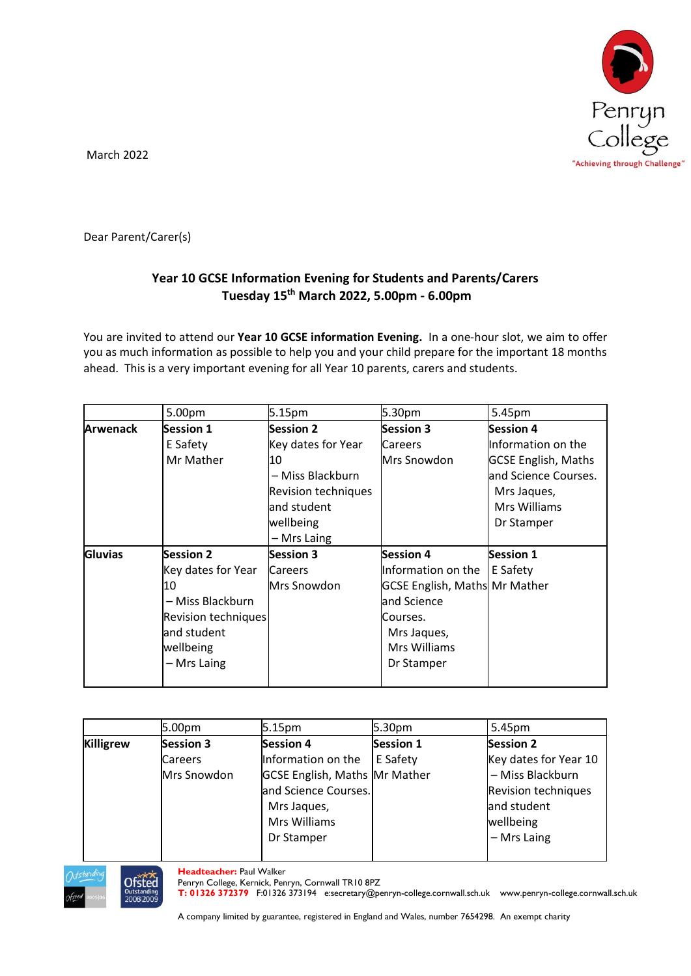

March 2022

Dear Parent/Carer(s)

## **Year 10 GCSE Information Evening for Students and Parents/Carers Tuesday 15th March 2022, 5.00pm - 6.00pm**

You are invited to attend our **Year 10 GCSE information Evening.** In a one-hour slot, we aim to offer you as much information as possible to help you and your child prepare for the important 18 months ahead. This is a very important evening for all Year 10 parents, carers and students.

|                | 5.00pm                     | 5.15pm                     | 5.30pm                               | 5.45pm                     |
|----------------|----------------------------|----------------------------|--------------------------------------|----------------------------|
| Arwenack       | <b>Session 1</b>           | Session 2                  | <b>Session 3</b>                     | <b>Session 4</b>           |
|                | E Safety                   | Key dates for Year         | <b>Careers</b>                       | Information on the         |
|                | Mr Mather                  | 10                         | Mrs Snowdon                          | <b>GCSE English, Maths</b> |
|                |                            | – Miss Blackburn           |                                      | and Science Courses.       |
|                |                            | <b>Revision techniques</b> |                                      | Mrs Jaques,                |
|                |                            | and student                |                                      | Mrs Williams               |
|                |                            | wellbeing                  |                                      | Dr Stamper                 |
|                |                            | - Mrs Laing                |                                      |                            |
| <b>Gluvias</b> | <b>Session 2</b>           | <b>Session 3</b>           | <b>Session 4</b>                     | <b>Session 1</b>           |
|                | Key dates for Year         | <b>Careers</b>             | Information on the                   | E Safety                   |
|                | 10                         | Mrs Snowdon                | <b>GCSE English, Maths Mr Mather</b> |                            |
|                | - Miss Blackburn           |                            | and Science                          |                            |
|                | <b>Revision techniques</b> |                            | Courses.                             |                            |
|                | and student                |                            | Mrs Jaques,                          |                            |
|                | wellbeing                  |                            | Mrs Williams                         |                            |
|                | - Mrs Laing                |                            | Dr Stamper                           |                            |
|                |                            |                            |                                      |                            |

|                  | 5.00pm           | 5.15pm                               | 5.30pm           | 5.45pm                |
|------------------|------------------|--------------------------------------|------------------|-----------------------|
| <b>Killigrew</b> | <b>Session 3</b> | <b>Session 4</b>                     | <b>Session 1</b> | <b>Session 2</b>      |
|                  | Careers          | Information on the                   | E Safety         | Key dates for Year 10 |
|                  | Mrs Snowdon      | <b>GCSE English, Maths Mr Mather</b> |                  | - Miss Blackburn      |
|                  |                  | and Science Courses.                 |                  | Revision techniques   |
|                  |                  | Mrs Jaques,                          |                  | and student           |
|                  |                  | Mrs Williams                         |                  | wellbeing             |
|                  |                  | Dr Stamper                           |                  | $-$ Mrs Laing         |
|                  |                  |                                      |                  |                       |



**Headteacher:** Paul Walker

Penryn College, Kernick, Penryn, Cornwall TR10 8PZ

**T: 01326 372379** F:01326 373194 e:secretary@penryn-college.cornwall.sch.uk www.penryn-college.cornwall.sch.uk